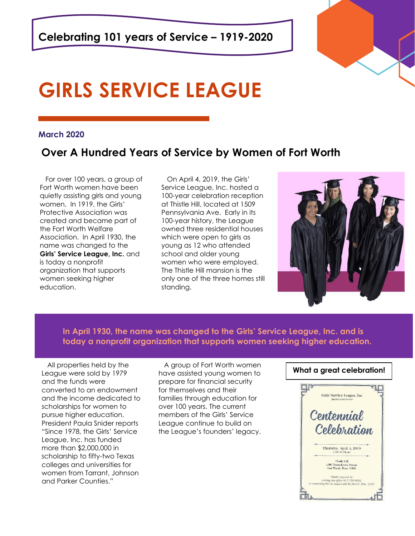

# **GIRLS SERVICE LEAGUE**

#### **March 2020**

### **Over A Hundred Years of Service by Women of Fort Worth**

 For over 100 years, a group of Fort Worth women have been quietly assisting girls and young women. In 1919, the Girls' Protective Association was created and became part of the Fort Worth Welfare Association. In April 1930, the name was changed to the **Girls' Service League, Inc.** and is today a nonprofit organization that supports women seeking higher education.

 On April 4, 2019, the Girls' Service League, Inc. hosted a 100-year celebration reception at Thistle Hill, located at 1509 Pennsylvania Ave. Early in its 100-year history, the League owned three residential houses which were open to girls as young as 12 who attended school and older young women who were employed. The Thistle Hill mansion is the only one of the three homes still standing.



**In April 1930, the name was changed to the Girls' Service League, Inc. and is today a nonprofit organization that supports women seeking higher education.** 

 All properties held by the League were sold by 1979 and the funds were converted to an endowment and the income dedicated to scholarships for women to pursue higher education. President Paula Snider reports "Since 1978, the Girls' Service League, Inc. has funded more than \$2,000,000 in scholarship to fifty-two Texas colleges and universities for women from Tarrant, Johnson and Parker Counties."

 A group of Fort Worth women have assisted young women to prepare for financial security for themselves and their families through education for over 100 years. The current members of the Girls' Service League continue to build on the League's founders' legacy.

### **What a great celebration!**

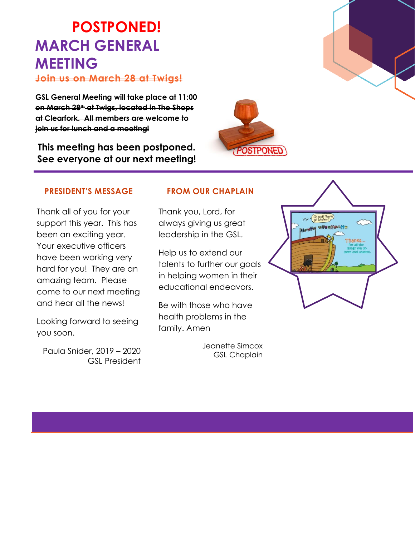## **POSTPONED! MARCH GENERAL MEETING**

**Join us on March 28 at Twigs!**

**GSL General Meeting will take place at 11:00 on March 28th at Twigs, located in The Shops at Clearfork. All members are welcome to join us for lunch and a meeting!** 

**This meeting has been postponed. See everyone at our next meeting!**



#### **PRESIDENT'S MESSAGE**

Thank all of you for your support this year. This has been an exciting year. Your executive officers have been working very hard for you! They are an amazing team. Please come to our next meeting and hear all the news!

Looking forward to seeing you soon.

Paula Snider, 2019 – 2020 GSL President

#### **FROM OUR CHAPLAIN**

Thank you, Lord, for always giving us great leadership in the GSL.

Help us to extend our talents to further our goals in helping women in their educational endeavors.

Be with those who have health problems in the family. Amen

> Jeanette Simcox GSL Chaplain

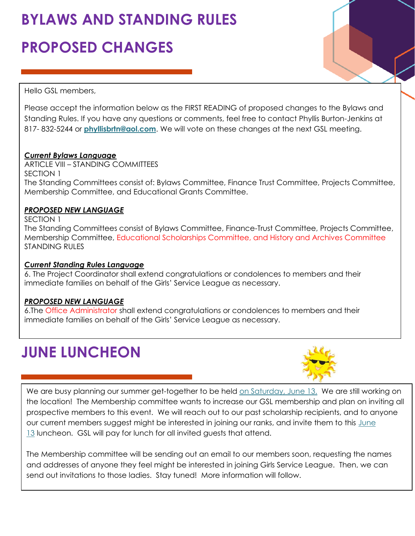# **BYLAWS AND STANDING RULES PROPOSED CHANGES**

Hello GSL members,

Please accept the information below as the FIRST READING of proposed changes to the Bylaws and Standing Rules. If you have any questions or comments, feel free to contact Phyllis Burton-Jenkins at 817- 832-5244 or **[phyllisbrtn@aol.com](mailto:phyllisbrtn@aol.com)**. We will vote on these changes at the next GSL meeting.

#### *Current Bylaws Language*

ARTICLE VIII – STANDING COMMITTEES SECTION 1 The Standing Committees consist of: Bylaws Committee, Finance Trust Committee, Projects Committee, Membership Committee, and Educational Grants Committee.

#### *PROPOSED NEW LANGUAGE*

SECTION 1

The Standing Committees consist of Bylaws Committee, Finance-Trust Committee, Projects Committee, Membership Committee, Educational Scholarships Committee, and History and Archives Committee STANDING RULES

#### *Current Standing Rules Language*

6. The Project Coordinator shall extend congratulations or condolences to members and their immediate families on behalf of the Girls' Service League as necessary.

#### *PROPOSED NEW LANGUAGE*

6.The Office Administrator shall extend congratulations or condolences to members and their immediate families on behalf of the Girls' Service League as necessary.

## **JUNE LUNCHEON**



We are busy planning our summer get-together to be held [on Saturday, June 13.](x-apple-data-detectors://7/) We are still working on the location! The Membership committee wants to increase our GSL membership and plan on inviting all prospective members to this event. We will reach out to our past scholarship recipients, and to anyone our current members suggest might be interested in joining our ranks, and invite them to this [June](x-apple-data-detectors://8/)  [13](x-apple-data-detectors://8/) luncheon. GSL will pay for lunch for all invited guests that attend.

The Membership committee will be sending out an email to our members soon, requesting the names and addresses of anyone they feel might be interested in joining Girls Service League. Then, we can send out invitations to those ladies. Stay tuned! More information will follow.